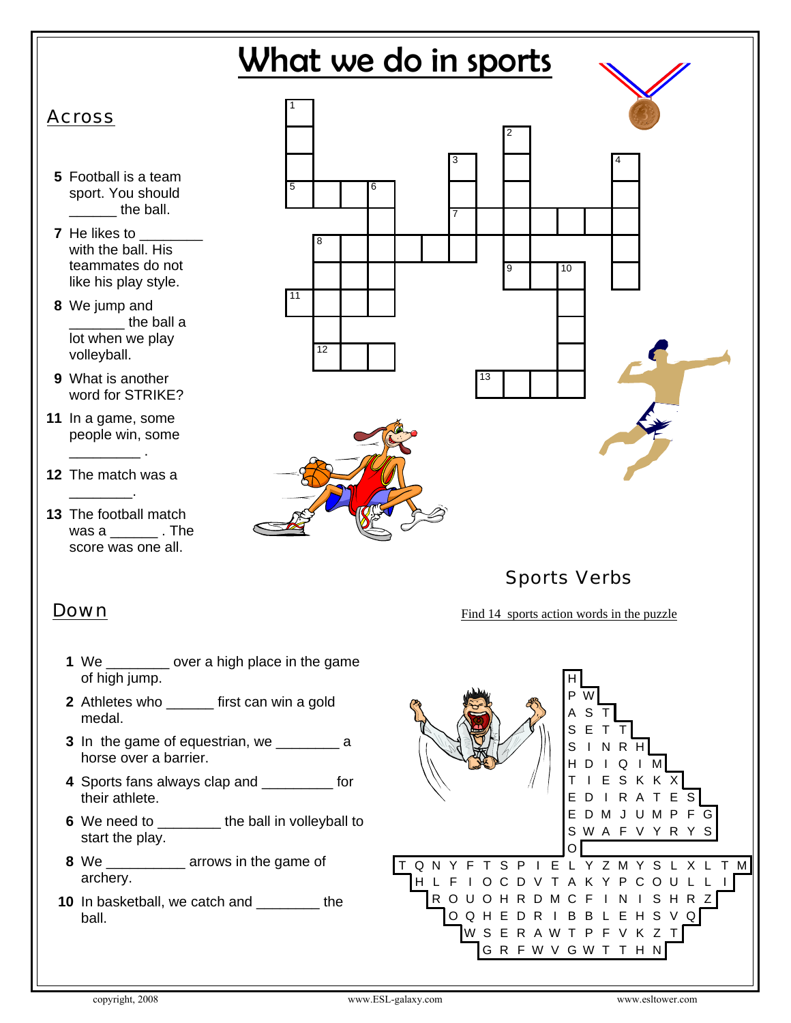

- **3** In the game of equestrian, we \_\_\_\_\_\_\_\_\_ a horse over a barrier.
- **4** Sports fans always clap and \_\_\_\_\_\_\_\_\_ for their athlete.
- **6** We need to \_\_\_\_\_\_\_\_ the ball in volleyball to start the play.
- **8** We \_\_\_\_\_\_\_\_\_\_ arrows in the game of archery.
- **10** In basketball, we catch and \_\_\_\_\_\_\_\_ the ball.